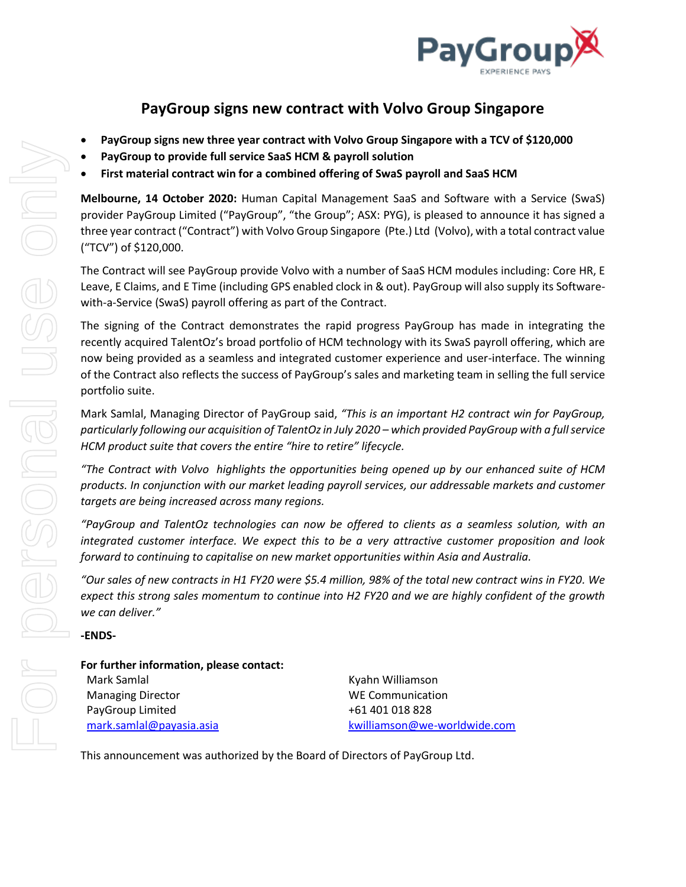

## **PayGroup signs new contract with Volvo Group Singapore**

- **PayGroup signs new three year contract with Volvo Group Singapore with a TCV of \$120,000**
- **PayGroup to provide full service SaaS HCM & payroll solution**
- **First material contract win for a combined offering of SwaS payroll and SaaS HCM**

**Melbourne, 14 October 2020:** Human Capital Management SaaS and Software with a Service (SwaS) provider PayGroup Limited ("PayGroup", "the Group"; ASX: PYG), is pleased to announce it has signed a three year contract ("Contract") with Volvo Group Singapore (Pte.) Ltd (Volvo), with a total contract value ("TCV") of \$120,000.

The Contract will see PayGroup provide Volvo with a number of SaaS HCM modules including: Core HR, E Leave, E Claims, and E Time (including GPS enabled clock in & out). PayGroup will also supply its Softwarewith-a-Service (SwaS) payroll offering as part of the Contract.

The signing of the Contract demonstrates the rapid progress PayGroup has made in integrating the recently acquired TalentOz's broad portfolio of HCM technology with its SwaS payroll offering, which are now being provided as a seamless and integrated customer experience and user-interface. The winning of the Contract also reflects the success of PayGroup's sales and marketing team in selling the full service portfolio suite.

Mark Samlal, Managing Director of PayGroup said, *"This is an important H2 contract win for PayGroup, particularly following our acquisition of TalentOz in July 2020 – which provided PayGroup with a full service HCM product suite that covers the entire "hire to retire" lifecycle.*

*"The Contract with Volvo highlights the opportunities being opened up by our enhanced suite of HCM products. In conjunction with our market leading payroll services, our addressable markets and customer targets are being increased across many regions.*

*"PayGroup and TalentOz technologies can now be offered to clients as a seamless solution, with an integrated customer interface. We expect this to be a very attractive customer proposition and look forward to continuing to capitalise on new market opportunities within Asia and Australia.*

*"Our sales of new contracts in H1 FY20 were \$5.4 million, 98% of the total new contract wins in FY20. We expect this strong sales momentum to continue into H2 FY20 and we are highly confident of the growth we can deliver."*

**-ENDS-**

## **For further information, please contact:**

| Mark Samlal              |
|--------------------------|
| <b>Managing Director</b> |
| PayGroup Limited         |
| mark.samlal@payasia.asia |

Kyahn Williamson WE Communication +61 401 018 828 [kwilliamson@we-worldwide.com](mailto:kwilliamson@we-worldwide.com)

This announcement was authorized by the Board of Directors of PayGroup Ltd.